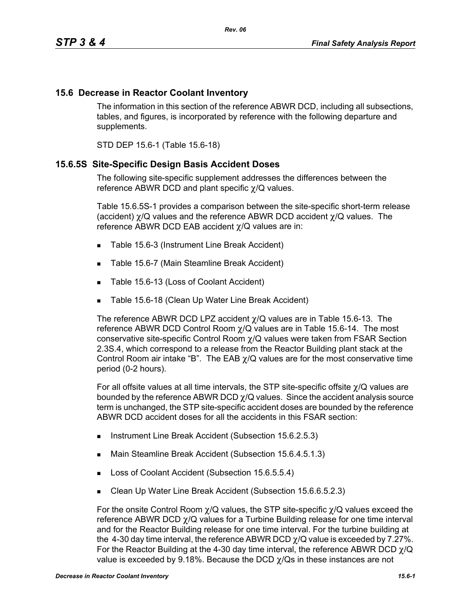## **15.6 Decrease in Reactor Coolant Inventory**

The information in this section of the reference ABWR DCD, including all subsections, tables, and figures, is incorporated by reference with the following departure and supplements.

STD DEP 15.6-1 (Table 15.6-18)

## **15.6.5S Site-Specific Design Basis Accident Doses**

The following site-specific supplement addresses the differences between the reference ABWR DCD and plant specific χ/Q values.

Table 15.6.5S-1 provides a comparison between the site-specific short-term release (accident) χ/Q values and the reference ABWR DCD accident χ/Q values. The reference ABWR DCD EAB accident χ/Q values are in:

- Table 15.6-3 (Instrument Line Break Accident)
- Table 15.6-7 (Main Steamline Break Accident)
- Table 15.6-13 (Loss of Coolant Accident)
- **Table 15.6-18 (Clean Up Water Line Break Accident)**

The reference ABWR DCD LPZ accident  $\chi$ /Q values are in Table 15.6-13. The reference ABWR DCD Control Room  $\chi$ /Q values are in Table 15.6-14. The most conservative site-specific Control Room χ/Q values were taken from FSAR Section 2.3S.4, which correspond to a release from the Reactor Building plant stack at the Control Room air intake "B". The EAB  $\chi$ /Q values are for the most conservative time period (0-2 hours).

For all offsite values at all time intervals, the STP site-specific offsite χ/Q values are bounded by the reference ABWR DCD  $\chi$ /Q values. Since the accident analysis source term is unchanged, the STP site-specific accident doses are bounded by the reference ABWR DCD accident doses for all the accidents in this FSAR section:

- **Instrument Line Break Accident (Subsection 15.6.2.5.3)**
- Main Steamline Break Accident (Subsection 15.6.4.5.1.3)
- Loss of Coolant Accident (Subsection 15.6.5.5.4)
- Clean Up Water Line Break Accident (Subsection 15.6.6.5.2.3)

For the onsite Control Room  $\chi$ /Q values, the STP site-specific  $\chi$ /Q values exceed the reference ABWR DCD χ/Q values for a Turbine Building release for one time interval and for the Reactor Building release for one time interval. For the turbine building at the 4-30 day time interval, the reference ABWR DCD  $\chi$ /Q value is exceeded by 7.27%. For the Reactor Building at the 4-30 day time interval, the reference ABWR DCD  $\gamma$ /Q value is exceeded by 9.18%. Because the DCD  $\gamma$ /Qs in these instances are not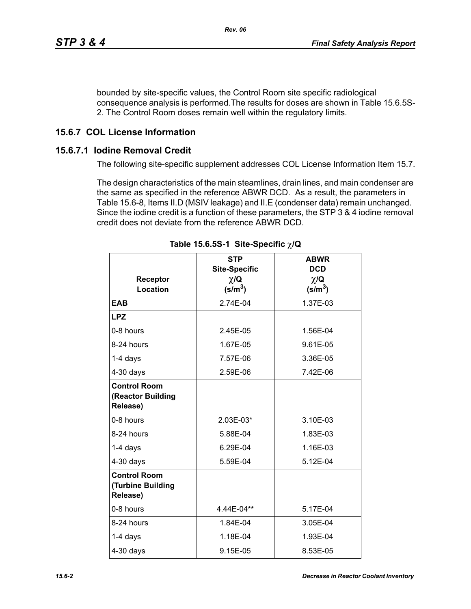bounded by site-specific values, the Control Room site specific radiological consequence analysis is performed.The results for doses are shown in Table 15.6.5S-2. The Control Room doses remain well within the regulatory limits.

## **15.6.7 COL License Information**

## **15.6.7.1 Iodine Removal Credit**

The following site-specific supplement addresses COL License Information Item 15.7.

The design characteristics of the main steamlines, drain lines, and main condenser are the same as specified in the reference ABWR DCD. As a result, the parameters in Table 15.6-8, Items II.D (MSIV leakage) and II.E (condenser data) remain unchanged. Since the iodine credit is a function of these parameters, the STP 3 & 4 iodine removal credit does not deviate from the reference ABWR DCD.

| <b>Receptor</b><br>Location                          | <b>STP</b><br><b>Site-Specific</b><br>$\chi/\mathbf{Q}$<br>$(s/m^3)$ | <b>ABWR</b><br><b>DCD</b><br>$\chi/\mathbf{Q}$<br>$(s/m^3)$ |
|------------------------------------------------------|----------------------------------------------------------------------|-------------------------------------------------------------|
| <b>EAB</b>                                           | 2.74E-04                                                             | 1.37E-03                                                    |
| <b>LPZ</b>                                           |                                                                      |                                                             |
| 0-8 hours                                            | 2.45E-05                                                             | 1.56E-04                                                    |
| 8-24 hours                                           | 1.67E-05                                                             | 9.61E-05                                                    |
| 1-4 days                                             | 7.57E-06                                                             | 3.36E-05                                                    |
| $4-30$ days                                          | 2.59E-06                                                             | 7.42E-06                                                    |
| <b>Control Room</b><br>(Reactor Building<br>Release) |                                                                      |                                                             |
| 0-8 hours                                            | 2.03E-03*                                                            | 3.10E-03                                                    |
| 8-24 hours                                           | 5.88E-04                                                             | 1.83E-03                                                    |
| $1-4$ days                                           | 6.29E-04                                                             | 1.16E-03                                                    |
| $4-30$ days                                          | 5.59E-04                                                             | 5.12E-04                                                    |
| <b>Control Room</b><br>(Turbine Building<br>Release) |                                                                      |                                                             |
| 0-8 hours                                            | 4.44E-04**                                                           | 5.17E-04                                                    |
| 8-24 hours                                           | 1.84E-04                                                             | 3.05E-04                                                    |
| $1-4$ days                                           | 1.18E-04                                                             | 1.93E-04                                                    |
| $4-30$ days                                          | 9.15E-05                                                             | 8.53E-05                                                    |

**Table 15.6.5S-1 Site-Specific** χ**/Q**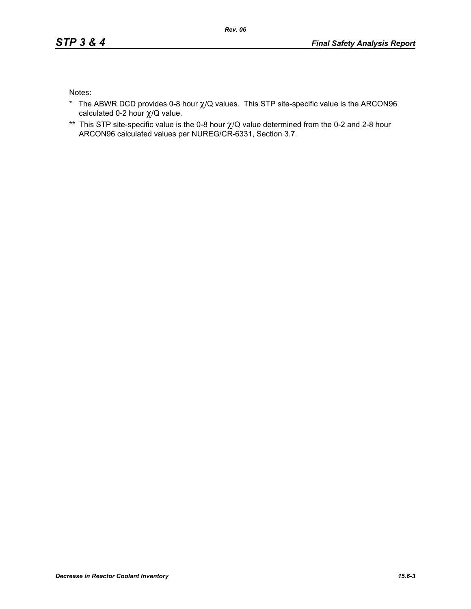Notes:

- \* The ABWR DCD provides 0-8 hour  $\chi$ /Q values. This STP site-specific value is the ARCON96 calculated 0-2 hour χ/Q value.
- \*\* This STP site-specific value is the 0-8 hour χ/Q value determined from the 0-2 and 2-8 hour ARCON96 calculated values per NUREG/CR-6331, Section 3.7.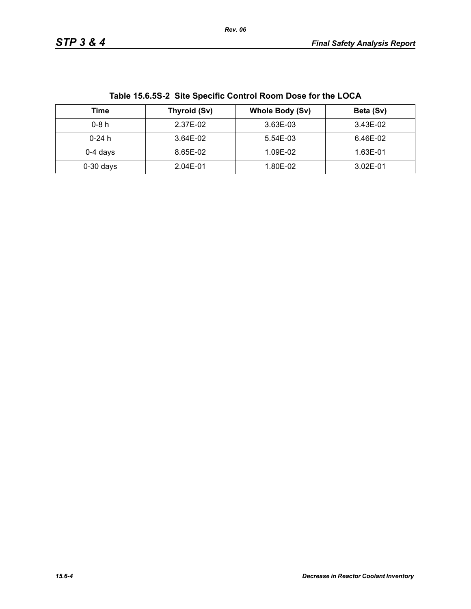| Table 15.6.55-2 Site Specific Control Room Dose for the LOCA |              |                 |           |  |
|--------------------------------------------------------------|--------------|-----------------|-----------|--|
| Time                                                         | Thyroid (Sv) | Whole Body (Sv) | Beta (Sv) |  |
| $0-8h$                                                       | 2.37E-02     | 3.63E-03        | 3.43E-02  |  |
| $0-24$ h                                                     | 3.64E-02     | 5.54E-03        | 6.46E-02  |  |
| $0-4$ days                                                   | 8.65E-02     | 1.09E-02        | 1.63E-01  |  |
| $0-30$ days                                                  | 2.04E-01     | 1.80E-02        | 3.02E-01  |  |

**Table 15.6.5S-2 Site Specific Control Room Dose for the LOCA**